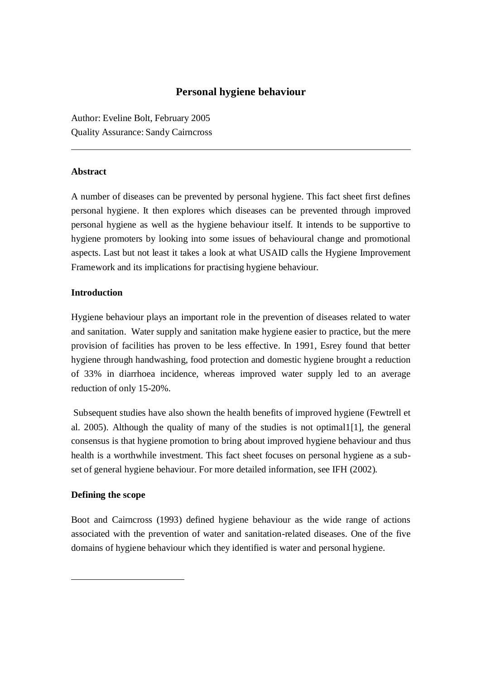# **Personal hygiene behaviour**

Author: Eveline Bolt, February 2005 Quality Assurance: Sandy Cairncross

### **Abstract**

A number of diseases can be prevented by personal hygiene. This fact sheet first defines personal hygiene. It then explores which diseases can be prevented through improved personal hygiene as well as the hygiene behaviour itself. It intends to be supportive to hygiene promoters by looking into some issues of behavioural change and promotional aspects. Last but not least it takes a look at what USAID calls the Hygiene Improvement Framework and its implications for practising hygiene behaviour.

### **Introduction**

Hygiene behaviour plays an important role in the prevention of diseases related to water and sanitation. Water supply and sanitation make hygiene easier to practice, but the mere provision of facilities has proven to be less effective. In 1991, Esrey found that better hygiene through handwashing, food protection and domestic hygiene brought a reduction of 33% in diarrhoea incidence, whereas improved water supply led to an average reduction of only 15-20%.

Subsequent studies have also shown the health benefits of improved hygiene (Fewtrell et al. 2005). Although the quality of many of the studies is not optimal1[1], the general consensus is that hygiene promotion to bring about improved hygiene behaviour and thus health is a worthwhile investment. This fact sheet focuses on personal hygiene as a subset of general hygiene behaviour. For more detailed information, see IFH (2002).

## **Defining the scope**

1

Boot and Cairncross (1993) defined hygiene behaviour as the wide range of actions associated with the prevention of water and sanitation-related diseases. One of the five domains of hygiene behaviour which they identified is water and personal hygiene.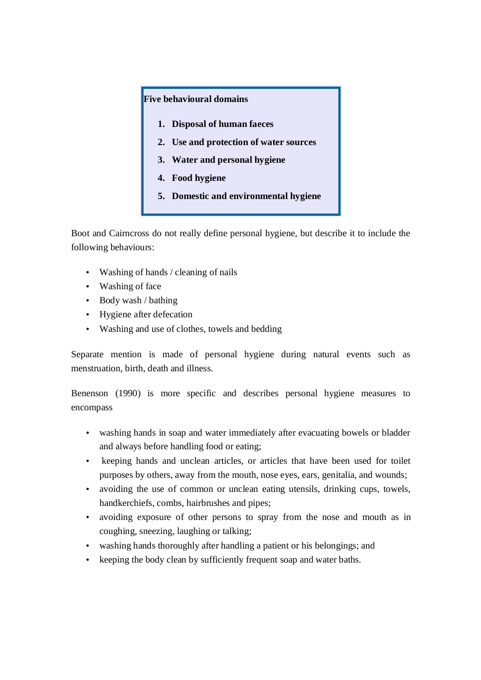### **Five behavioural domains**

- **1. Disposal of human faeces**
- **2. Use and protection of water sources**
- **3. Water and personal hygiene**
- **4. Food hygiene**
- **5. Domestic and environmental hygiene**

Boot and Cairncross do not really define personal hygiene, but describe it to include the following behaviours:

- Washing of hands / cleaning of nails
- Washing of face
- Body wash / bathing
- Hygiene after defecation
- Washing and use of clothes, towels and bedding

Separate mention is made of personal hygiene during natural events such as menstruation, birth, death and illness.

Benenson (1990) is more specific and describes personal hygiene measures to encompass

- washing hands in soap and water immediately after evacuating bowels or bladder and always before handling food or eating;
- keeping hands and unclean articles, or articles that have been used for toilet purposes by others, away from the mouth, nose eyes, ears, genitalia, and wounds;
- avoiding the use of common or unclean eating utensils, drinking cups, towels, handkerchiefs, combs, hairbrushes and pipes;
- avoiding exposure of other persons to spray from the nose and mouth as in coughing, sneezing, laughing or talking;
- washing hands thoroughly after handling a patient or his belongings; and
- keeping the body clean by sufficiently frequent soap and water baths.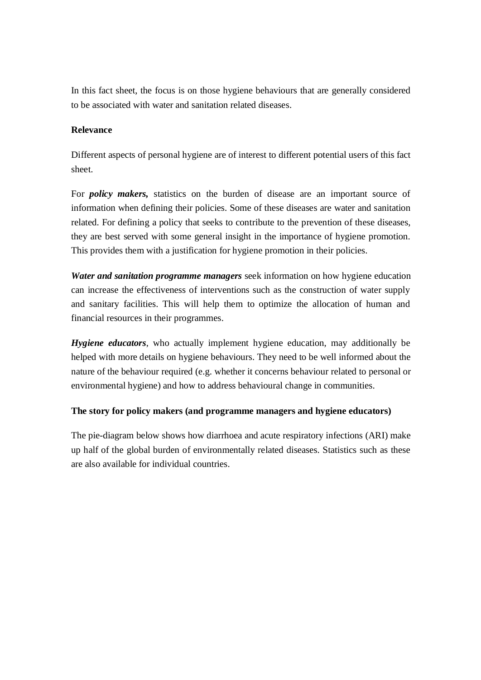In this fact sheet, the focus is on those hygiene behaviours that are generally considered to be associated with water and sanitation related diseases.

## **Relevance**

Different aspects of personal hygiene are of interest to different potential users of this fact sheet.

For *policy makers,* statistics on the burden of disease are an important source of information when defining their policies. Some of these diseases are water and sanitation related. For defining a policy that seeks to contribute to the prevention of these diseases, they are best served with some general insight in the importance of hygiene promotion. This provides them with a justification for hygiene promotion in their policies.

*Water and sanitation programme managers* seek information on how hygiene education can increase the effectiveness of interventions such as the construction of water supply and sanitary facilities. This will help them to optimize the allocation of human and financial resources in their programmes.

*Hygiene educators*, who actually implement hygiene education, may additionally be helped with more details on hygiene behaviours. They need to be well informed about the nature of the behaviour required (e.g. whether it concerns behaviour related to personal or environmental hygiene) and how to address behavioural change in communities.

## **The story for policy makers (and programme managers and hygiene educators)**

The pie-diagram below shows how diarrhoea and acute respiratory infections (ARI) make up half of the global burden of environmentally related diseases. Statistics such as these are also available for individual countries.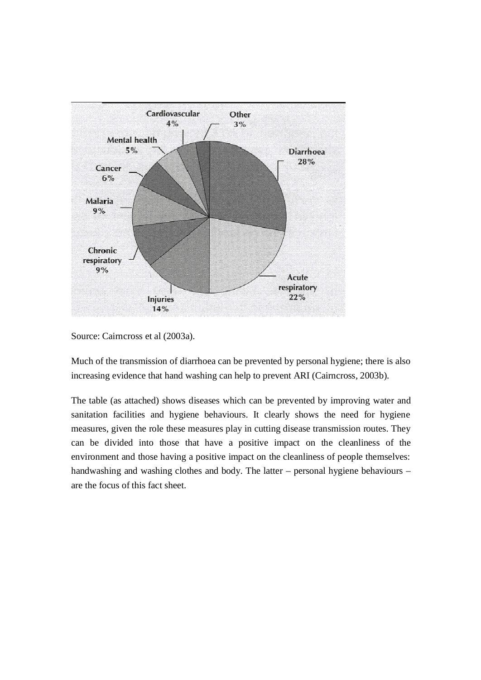

Source: Cairncross et al (2003a).

Much of the transmission of diarrhoea can be prevented by personal hygiene; there is also increasing evidence that hand washing can help to prevent ARI (Cairncross, 2003b).

The table (as attached) shows diseases which can be prevented by improving water and sanitation facilities and hygiene behaviours. It clearly shows the need for hygiene measures, given the role these measures play in cutting disease transmission routes. They can be divided into those that have a positive impact on the cleanliness of the environment and those having a positive impact on the cleanliness of people themselves: handwashing and washing clothes and body. The latter – personal hygiene behaviours – are the focus of this fact sheet.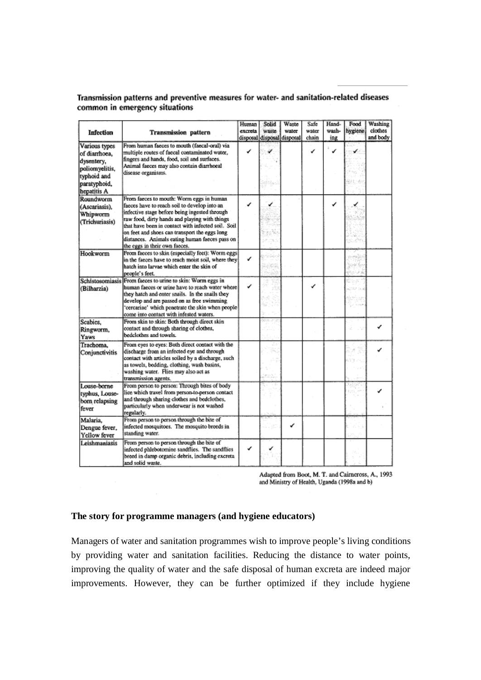| Transmission patterns and preventive measures for water- and sanitation-related diseases |  |  |
|------------------------------------------------------------------------------------------|--|--|
| common in emergency situations                                                           |  |  |

| Infection                                                | <b>Transmission</b> pattern                                                                                                                                                                                                                                                                   | Human<br>excreta | Solid<br>waste | Waste<br>water<br>disposal disposal disposal | Safe<br>water<br>chain | Hand-<br>wash-<br>ing | Food<br>hygiene | Washing<br>clothes<br>and body |
|----------------------------------------------------------|-----------------------------------------------------------------------------------------------------------------------------------------------------------------------------------------------------------------------------------------------------------------------------------------------|------------------|----------------|----------------------------------------------|------------------------|-----------------------|-----------------|--------------------------------|
| Various types<br>of diarrhoea,<br>dysentery,             | From human faeces to mouth (faecal-oral) via<br>multiple routes of faccal contaminated water,<br>fingers and hands, food, soil and surfaces.                                                                                                                                                  |                  |                |                                              | ✓                      | ✔                     |                 |                                |
| poliomyelitis,<br>typhoid and<br>paratyphoid,            | Animal faeces may also contain diarrhoeal<br>disease organisms.                                                                                                                                                                                                                               |                  |                |                                              |                        |                       |                 |                                |
| hepatitis A                                              |                                                                                                                                                                                                                                                                                               |                  |                |                                              |                        |                       |                 |                                |
| Roundworm<br>(Ascariasis).<br>Whipworm                   | From faeces to mouth: Worm eggs in human<br>facces have to reach soil to develop into an<br>infective stage before being ingested through                                                                                                                                                     |                  |                |                                              |                        | ✔                     | ✓               |                                |
| (Trichuriasis)                                           | raw food, dirty hands and playing with things<br>that have been in contact with infected soil. Soil<br>on feet and shoes can transport the eggs long<br>distances. Animals eating human facces pass on                                                                                        |                  |                |                                              |                        |                       |                 |                                |
| Hookworm                                                 | the eggs in their own facces.<br>From facces to skin (especially feet): Worm eggs<br>in the faeces have to reach moist soil, where they<br>hatch into larvae which enter the skin of<br>people's feet.                                                                                        | ✓                |                |                                              |                        |                       |                 |                                |
| Schistosomiasis<br>(Bilharzia)                           | From facces to urine to skin: Worm eggs in<br>human faeces or urine have to reach water where<br>they hatch and enter snails. In the snails they<br>develop and are passed on as free swimming<br>'cercariae' which penetrate the skin when people<br>come into contact with infested waters. | ✓                |                |                                              |                        |                       |                 |                                |
| Scabies,<br>Ringworm,<br>Yaws                            | From skin to skin: Both through direct skin<br>contact and through sharing of clothes,<br>bedclothes and towels.                                                                                                                                                                              |                  |                |                                              |                        |                       |                 |                                |
| Trachoma,<br>Conjunctivitis                              | From eyes to eyes: Both direct contact with the<br>discharge from an infected eye and through<br>contact with articles soiled by a discharge, such<br>as towels, bedding, clothing, wash basins,<br>washing water. Flies may also act as<br>transmission agents.                              |                  |                |                                              |                        |                       |                 |                                |
| Louse-borne<br>typhus, Louse-<br>born relapsing<br>fever | From person to person: Through bites of body<br>lice which travel from person-to-person contact<br>and through sharing clothes and bedclothes,<br>particularly when underwear is not washed<br>regularly.                                                                                     |                  |                |                                              |                        |                       |                 |                                |
| Malaria,<br>Dengue fever,<br>Yellow fever                | From person to person through the bite of<br>infected mosquitoes. The mosquito breeds in<br>standing water.                                                                                                                                                                                   |                  |                | ٧                                            |                        |                       |                 |                                |
| Leishmaniasis                                            | From person to person through the bite of<br>infected phlebotomine sandflies. The sandflies<br>breed in damp organic debris, including excreta<br>and solid waste.                                                                                                                            | ✔                |                |                                              |                        |                       |                 |                                |

Adapted from Boot, M. T. and Cairneross, A., 1993<br>and Ministry of Health, Uganda (1998a and b)

#### **The story for programme managers (and hygiene educators)**

Managers of water and sanitation programmes wish to improve people's living conditions by providing water and sanitation facilities. Reducing the distance to water points, improving the quality of water and the safe disposal of human excreta are indeed major improvements. However, they can be further optimized if they include hygiene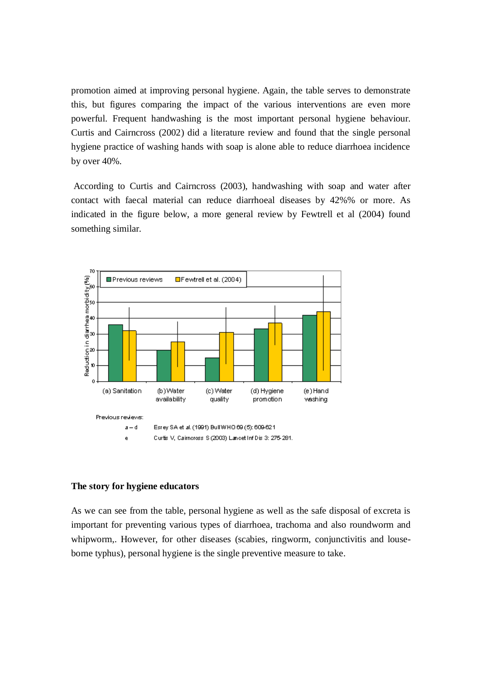promotion aimed at improving personal hygiene. Again, the table serves to demonstrate this, but figures comparing the impact of the various interventions are even more powerful. Frequent handwashing is the most important personal hygiene behaviour. Curtis and Cairncross (2002) did a literature review and found that the single personal hygiene practice of washing hands with soap is alone able to reduce diarrhoea incidence by over 40%.

According to Curtis and Cairncross (2003), handwashing with soap and water after contact with faecal material can reduce diarrhoeal diseases by 42%% or more. As indicated in the figure below, a more general review by Fewtrell et al (2004) found something similar.



### **The story for hygiene educators**

As we can see from the table, personal hygiene as well as the safe disposal of excreta is important for preventing various types of diarrhoea, trachoma and also roundworm and whipworm,. However, for other diseases (scabies, ringworm, conjunctivitis and louseborne typhus), personal hygiene is the single preventive measure to take.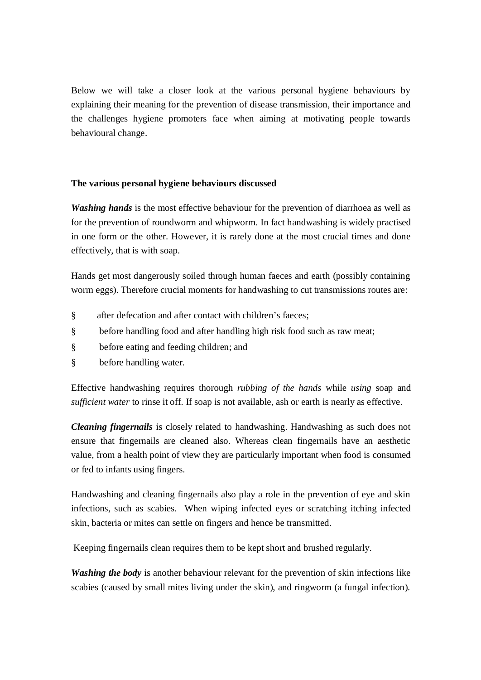Below we will take a closer look at the various personal hygiene behaviours by explaining their meaning for the prevention of disease transmission, their importance and the challenges hygiene promoters face when aiming at motivating people towards behavioural change.

## **The various personal hygiene behaviours discussed**

*Washing hands* is the most effective behaviour for the prevention of diarrhoea as well as for the prevention of roundworm and whipworm. In fact handwashing is widely practised in one form or the other. However, it is rarely done at the most crucial times and done effectively, that is with soap.

Hands get most dangerously soiled through human faeces and earth (possibly containing worm eggs). Therefore crucial moments for handwashing to cut transmissions routes are:

- § after defecation and after contact with children's faeces;
- § before handling food and after handling high risk food such as raw meat;
- § before eating and feeding children; and
- § before handling water.

Effective handwashing requires thorough *rubbing of the hands* while *using* soap and *sufficient water* to rinse it off. If soap is not available, ash or earth is nearly as effective.

*Cleaning fingernails* is closely related to handwashing. Handwashing as such does not ensure that fingernails are cleaned also. Whereas clean fingernails have an aesthetic value, from a health point of view they are particularly important when food is consumed or fed to infants using fingers.

Handwashing and cleaning fingernails also play a role in the prevention of eye and skin infections, such as scabies. When wiping infected eyes or scratching itching infected skin, bacteria or mites can settle on fingers and hence be transmitted.

Keeping fingernails clean requires them to be kept short and brushed regularly.

*Washing the body* is another behaviour relevant for the prevention of skin infections like scabies (caused by small mites living under the skin), and ringworm (a fungal infection).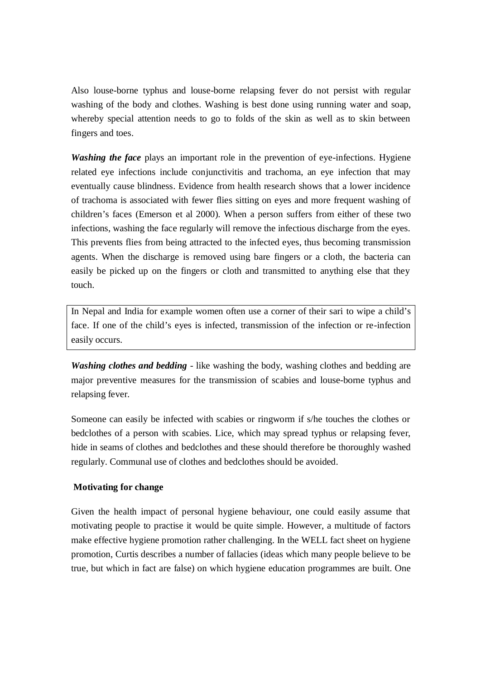Also louse-borne typhus and louse-borne relapsing fever do not persist with regular washing of the body and clothes. Washing is best done using running water and soap, whereby special attention needs to go to folds of the skin as well as to skin between fingers and toes.

*Washing the face* plays an important role in the prevention of eye-infections. Hygiene related eye infections include conjunctivitis and trachoma, an eye infection that may eventually cause blindness. Evidence from health research shows that a lower incidence of trachoma is associated with fewer flies sitting on eyes and more frequent washing of children's faces (Emerson et al 2000). When a person suffers from either of these two infections, washing the face regularly will remove the infectious discharge from the eyes. This prevents flies from being attracted to the infected eyes, thus becoming transmission agents. When the discharge is removed using bare fingers or a cloth, the bacteria can easily be picked up on the fingers or cloth and transmitted to anything else that they touch.

In Nepal and India for example women often use a corner of their sari to wipe a child's face. If one of the child's eyes is infected, transmission of the infection or re-infection easily occurs.

*Washing clothes and bedding* - like washing the body, washing clothes and bedding are major preventive measures for the transmission of scabies and louse-borne typhus and relapsing fever.

Someone can easily be infected with scabies or ringworm if s/he touches the clothes or bedclothes of a person with scabies. Lice, which may spread typhus or relapsing fever, hide in seams of clothes and bedclothes and these should therefore be thoroughly washed regularly. Communal use of clothes and bedclothes should be avoided.

## **Motivating for change**

Given the health impact of personal hygiene behaviour, one could easily assume that motivating people to practise it would be quite simple. However, a multitude of factors make effective hygiene promotion rather challenging. In the WELL fact sheet on hygiene promotion, Curtis describes a number of fallacies (ideas which many people believe to be true, but which in fact are false) on which hygiene education programmes are built. One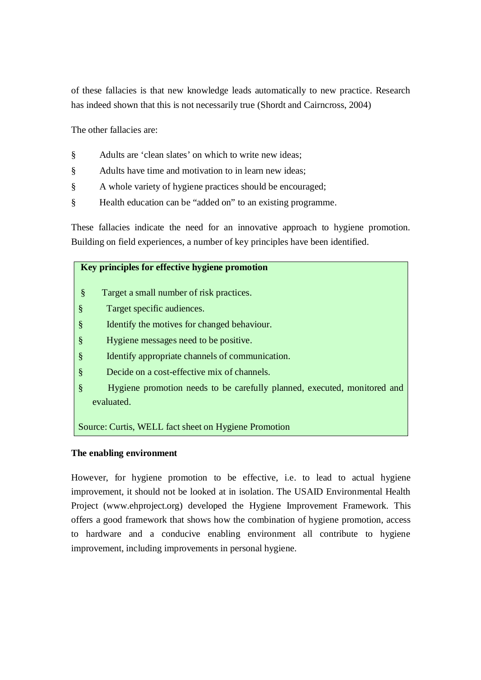of these fallacies is that new knowledge leads automatically to new practice. Research has indeed shown that this is not necessarily true (Shordt and Cairncross, 2004)

The other fallacies are:

- § Adults are 'clean slates' on which to write new ideas;
- § Adults have time and motivation to in learn new ideas;
- § A whole variety of hygiene practices should be encouraged;
- § Health education can be "added on" to an existing programme.

These fallacies indicate the need for an innovative approach to hygiene promotion. Building on field experiences, a number of key principles have been identified.

## **Key principles for effective hygiene promotion**

- § Target a small number of risk practices.
- § Target specific audiences.
- § Identify the motives for changed behaviour.
- § Hygiene messages need to be positive.
- § Identify appropriate channels of communication.
- § Decide on a cost-effective mix of channels.
- § Hygiene promotion needs to be carefully planned, executed, monitored and evaluated.

Source: Curtis, WELL fact sheet on Hygiene Promotion

### **The enabling environment**

However, for hygiene promotion to be effective, i.e. to lead to actual hygiene improvement, it should not be looked at in isolation. The USAID Environmental Health Project (www.ehproject.org) developed the Hygiene Improvement Framework. This offers a good framework that shows how the combination of hygiene promotion, access to hardware and a conducive enabling environment all contribute to hygiene improvement, including improvements in personal hygiene.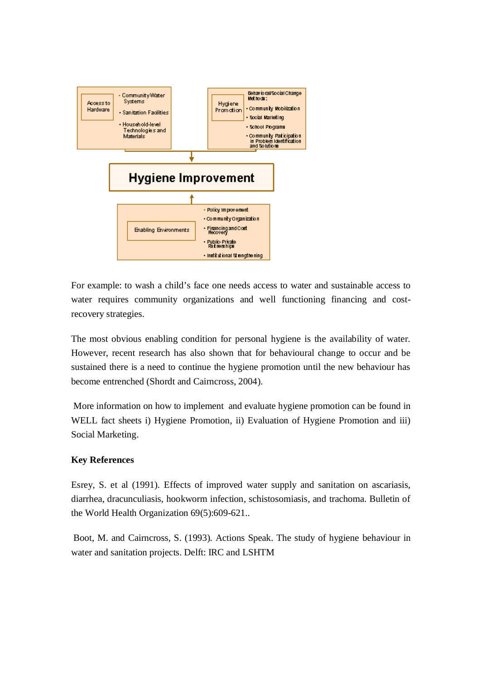

For example: to wash a child's face one needs access to water and sustainable access to water requires community organizations and well functioning financing and costrecovery strategies.

The most obvious enabling condition for personal hygiene is the availability of water. However, recent research has also shown that for behavioural change to occur and be sustained there is a need to continue the hygiene promotion until the new behaviour has become entrenched (Shordt and Cairncross, 2004).

More information on how to implement and evaluate hygiene promotion can be found in WELL fact sheets i) Hygiene Promotion, ii) Evaluation of Hygiene Promotion and iii) Social Marketing.

## **Key References**

Esrey, S. et al (1991). Effects of improved water supply and sanitation on ascariasis, diarrhea, dracunculiasis, hookworm infection, schistosomiasis, and trachoma. Bulletin of the World Health Organization 69(5):609-621..

Boot, M. and Cairncross, S. (1993). Actions Speak. The study of hygiene behaviour in water and sanitation projects. Delft: IRC and LSHTM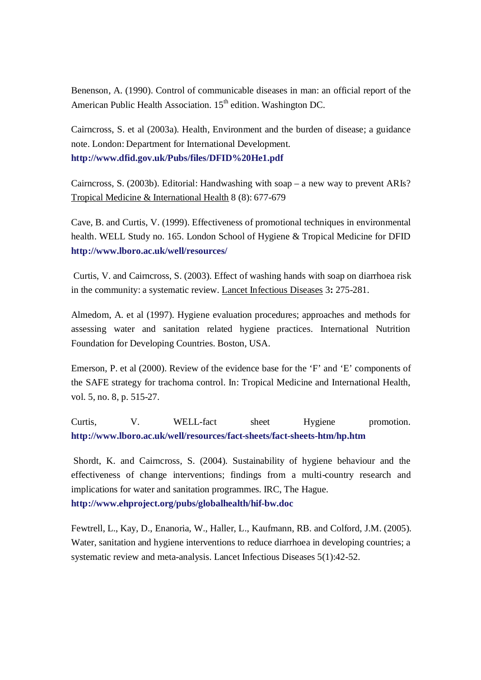Benenson, A. (1990). Control of communicable diseases in man: an official report of the American Public Health Association. 15<sup>th</sup> edition. Washington DC.

Cairncross, S. et al (2003a). Health, Environment and the burden of disease; a guidance note. London: Department for International Development. **http://www.dfid.gov.uk/Pubs/files/DFID%20He1.pdf**

Cairncross, S. (2003b). Editorial: Handwashing with soap – a new way to prevent ARIs? Tropical Medicine & International Health 8 (8): 677-679

Cave, B. and Curtis, V. (1999). Effectiveness of promotional techniques in environmental health. WELL Study no. 165. London School of Hygiene & Tropical Medicine for DFID **http://www.lboro.ac.uk/well/resources/**

Curtis, V. and Cairncross, S. (2003). Effect of washing hands with soap on diarrhoea risk in the community: a systematic review. Lancet Infectious Diseases 3**:** 275-281.

Almedom, A. et al (1997). Hygiene evaluation procedures; approaches and methods for assessing water and sanitation related hygiene practices. International Nutrition Foundation for Developing Countries. Boston, USA.

Emerson, P. et al (2000). Review of the evidence base for the 'F' and 'E' components of the SAFE strategy for trachoma control. In: Tropical Medicine and International Health, vol. 5, no. 8, p. 515-27.

Curtis, V. WELL-fact sheet Hygiene promotion. **http://www.lboro.ac.uk/well/resources/fact-sheets/fact-sheets-htm/hp.htm**

Shordt, K. and Cairncross, S. (2004). Sustainability of hygiene behaviour and the effectiveness of change interventions; findings from a multi-country research and implications for water and sanitation programmes. IRC, The Hague. **http://www.ehproject.org/pubs/globalhealth/hif-bw.doc**

Fewtrell, L., Kay, D., Enanoria, W., Haller, L., Kaufmann, RB. and Colford, J.M. (2005). Water, sanitation and hygiene interventions to reduce diarrhoea in developing countries; a systematic review and meta-analysis. Lancet Infectious Diseases 5(1):42-52.